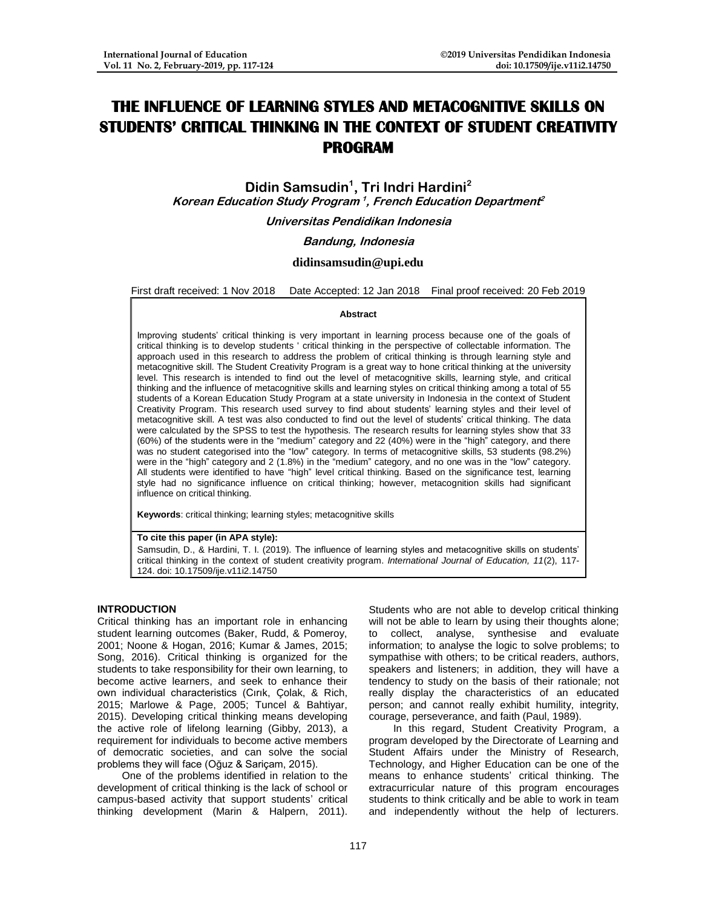# **THE INFLUENCE OF LEARNING STYLES AND METACOGNITIVE SKILLS ON STUDENTS' CRITICAL THINKING IN THE CONTEXT OF STUDENT CREATIVITY PROGRAM**

**Didin Samsudin<sup>1</sup> , Tri Indri Hardini<sup>2</sup> Korean Education Study Program<sup>1</sup> , French Education Department 2**

**Universitas Pendidikan Indonesia**

## **Bandung, Indonesia**

# **[didinsamsudin@upi.edu](mailto:didinsamsudin@upi.edu)**

First draft received: 1 Nov 2018 Date Accepted: 12 Jan 2018 Final proof received: 20 Feb 2019

#### **Abstract**

Improving students' critical thinking is very important in learning process because one of the goals of critical thinking is to develop students ' critical thinking in the perspective of collectable information. The approach used in this research to address the problem of critical thinking is through learning style and metacognitive skill. The Student Creativity Program is a great way to hone critical thinking at the university level. This research is intended to find out the level of metacognitive skills, learning style, and critical thinking and the influence of metacognitive skills and learning styles on critical thinking among a total of 55 students of a Korean Education Study Program at a state university in Indonesia in the context of Student Creativity Program. This research used survey to find about students' learning styles and their level of metacognitive skill. A test was also conducted to find out the level of students' critical thinking. The data were calculated by the SPSS to test the hypothesis. The research results for learning styles show that 33 (60%) of the students were in the "medium" category and 22 (40%) were in the "high" category, and there was no student categorised into the "low" category. In terms of metacognitive skills, 53 students (98.2%) were in the "high" category and 2 (1.8%) in the "medium" category, and no one was in the "low" category. All students were identified to have "high" level critical thinking. Based on the significance test, learning style had no significance influence on critical thinking; however, metacognition skills had significant influence on critical thinking.

**Keywords**: critical thinking; learning styles; metacognitive skills

#### **To cite this paper (in APA style):**

Samsudin, D., & Hardini, T. I. (2019). The influence of learning styles and metacognitive skills on students' critical thinking in the context of student creativity program. *International Journal of Education, 11*(2), 117- 124. doi: 10.17509/ije.v11i2.14750

# **INTRODUCTION**

Critical thinking has an important role in enhancing student learning outcomes (Baker, Rudd, & Pomeroy, 2001; Noone & Hogan, 2016; Kumar & James, 2015; Song, 2016). Critical thinking is organized for the students to take responsibility for their own learning, to become active learners, and seek to enhance their own individual characteristics (Cırık, Çolak, & Rich, 2015; Marlowe & Page, 2005; Tuncel & Bahtiyar, 2015). Developing critical thinking means developing the active role of lifelong learning (Gibby, 2013), a requirement for individuals to become active members of democratic societies, and can solve the social problems they will face (Oğuz & Sariçam, 2015).

One of the problems identified in relation to the development of critical thinking is the lack of school or campus-based activity that support students' critical thinking development (Marin & Halpern, 2011).

Students who are not able to develop critical thinking will not be able to learn by using their thoughts alone;<br>to collect, analyse, synthesise and evaluate synthesise and evaluate information; to analyse the logic to solve problems; to sympathise with others; to be critical readers, authors, speakers and listeners; in addition, they will have a tendency to study on the basis of their rationale; not really display the characteristics of an educated person; and cannot really exhibit humility, integrity, courage, perseverance, and faith (Paul, 1989).

In this regard, Student Creativity Program, a program developed by the Directorate of Learning and Student Affairs under the Ministry of Research, Technology, and Higher Education can be one of the means to enhance students' critical thinking. The extracurricular nature of this program encourages students to think critically and be able to work in team and independently without the help of lecturers.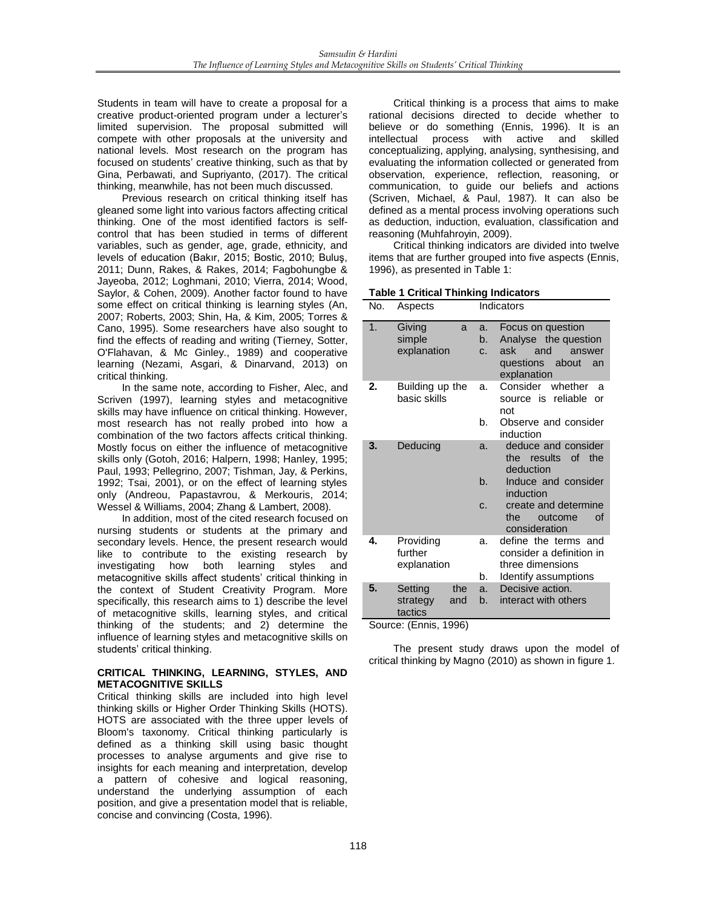Students in team will have to create a proposal for a creative product-oriented program under a lecturer's limited supervision. The proposal submitted will compete with other proposals at the university and national levels. Most research on the program has focused on students' creative thinking, such as that by Gina, Perbawati, and Supriyanto, (2017). The critical thinking, meanwhile, has not been much discussed.

Previous research on critical thinking itself has gleaned some light into various factors affecting critical thinking. One of the most identified factors is selfcontrol that has been studied in terms of different variables, such as gender, age, grade, ethnicity, and levels of education (Bakır, 2015; Bostic, 2010; Buluş, 2011; Dunn, Rakes, & Rakes, 2014; Fagbohungbe & Jayeoba, 2012; Loghmani, 2010; Vierra, 2014; Wood, Saylor, & Cohen, 2009). Another factor found to have some effect on critical thinking is learning styles (An, 2007; Roberts, 2003; Shin, Ha, & Kim, 2005; Torres & Cano, 1995). Some researchers have also sought to find the effects of reading and writing (Tierney, Sotter, O'Flahavan, & Mc Ginley., 1989) and cooperative learning (Nezami, Asgari, & Dinarvand, 2013) on critical thinking.

In the same note, according to Fisher, Alec, and Scriven (1997), learning styles and metacognitive skills may have influence on critical thinking. However, most research has not really probed into how a combination of the two factors affects critical thinking. Mostly focus on either the influence of metacognitive skills only (Gotoh, 2016; Halpern, 1998; Hanley, 1995; Paul, 1993; Pellegrino, 2007; Tishman, Jay, & Perkins, 1992; Tsai, 2001), or on the effect of learning styles only (Andreou, Papastavrou, & Merkouris, 2014; Wessel & Williams, 2004; Zhang & Lambert, 2008).

In addition, most of the cited research focused on nursing students or students at the primary and secondary levels. Hence, the present research would like to contribute to the existing research by<br>investigating how both learning styles and investigating how both learning styles and metacognitive skills affect students' critical thinking in the context of Student Creativity Program. More specifically, this research aims to 1) describe the level of metacognitive skills, learning styles, and critical thinking of the students; and 2) determine the influence of learning styles and metacognitive skills on students' critical thinking.

## **CRITICAL THINKING, LEARNING, STYLES, AND METACOGNITIVE SKILLS**

Critical thinking skills are included into high level thinking skills or Higher Order Thinking Skills (HOTS). HOTS are associated with the three upper levels of Bloom's taxonomy. Critical thinking particularly is defined as a thinking skill using basic thought processes to analyse arguments and give rise to insights for each meaning and interpretation, develop a pattern of cohesive and logical reasoning, understand the underlying assumption of each position, and give a presentation model that is reliable, concise and convincing (Costa, 1996).

Critical thinking is a process that aims to make rational decisions directed to decide whether to believe or do something (Ennis, 1996). It is an<br>intellectual process with active and skilled process with active and skilled conceptualizing, applying, analysing, synthesising, and evaluating the information collected or generated from observation, experience, reflection, reasoning, or communication, to guide our beliefs and actions (Scriven, Michael, & Paul, 1987). It can also be defined as a mental process involving operations such as deduction, induction, evaluation, classification and reasoning (Muhfahroyin, 2009).

Critical thinking indicators are divided into twelve items that are further grouped into five aspects (Ennis, 1996), as presented in Table 1:

**Table 1 Critical Thinking Indicators** 

| No.            | Aspects                                      |                            | Indicators                                                                                                |  |
|----------------|----------------------------------------------|----------------------------|-----------------------------------------------------------------------------------------------------------|--|
| 1.             | Giving<br>a<br>simple<br>explanation         | a.<br>b.<br>C <sub>1</sub> | Focus on question<br>Analyse the question<br>ask<br>and<br>answer<br>questions about<br>an<br>explanation |  |
| 2.             | Building up the<br>basic skills              | a.<br>b.                   | Consider<br>whether<br>a<br>source is reliable<br>Ωr<br>not<br>Observe and consider                       |  |
|                |                                              |                            | induction                                                                                                 |  |
| 3.<br>Deducing |                                              | a.<br>b.                   | deduce and consider<br>the results of<br>the<br>deduction<br>Induce and consider                          |  |
|                |                                              |                            | induction                                                                                                 |  |
|                |                                              | C.                         | create and determine<br>the<br>outcome<br>Ωf<br>consideration                                             |  |
| 4.             | Providing<br>further<br>explanation          | a.                         | define the terms and<br>consider a definition in<br>three dimensions                                      |  |
|                |                                              | b.                         | Identify assumptions                                                                                      |  |
| 5.             | Setting<br>the<br>strategy<br>and<br>tactics | a.<br>b.                   | Decisive action.<br>interact with others                                                                  |  |

Source: (Ennis, 1996)

The present study draws upon the model of critical thinking by Magno (2010) as shown in figure 1.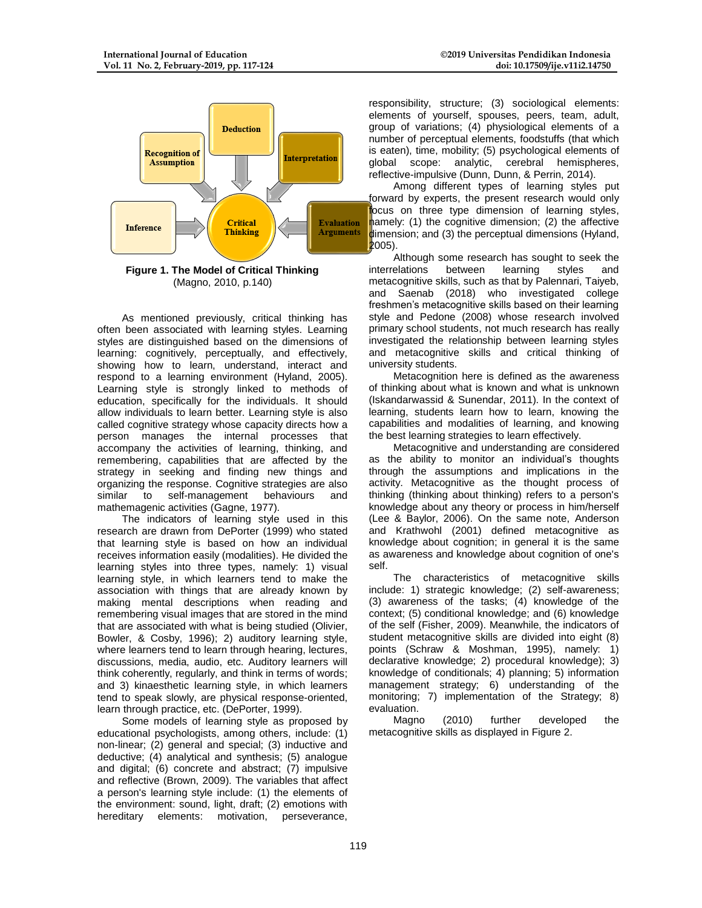

(Magno, 2010, p.140)

As mentioned previously, critical thinking has often been associated with learning styles. Learning styles are distinguished based on the dimensions of learning: cognitively, perceptually, and effectively, showing how to learn, understand, interact and respond to a learning environment (Hyland, 2005). Learning style is strongly linked to methods of education, specifically for the individuals. It should allow individuals to learn better. Learning style is also called cognitive strategy whose capacity directs how a person manages the internal processes that accompany the activities of learning, thinking, and remembering, capabilities that are affected by the strategy in seeking and finding new things and organizing the response. Cognitive strategies are also similar to self-management behaviours and mathemagenic activities (Gagne, 1977).

The indicators of learning style used in this research are drawn from DePorter (1999) who stated that learning style is based on how an individual receives information easily (modalities). He divided the learning styles into three types, namely: 1) visual learning style, in which learners tend to make the association with things that are already known by making mental descriptions when reading and remembering visual images that are stored in the mind that are associated with what is being studied (Olivier, Bowler, & Cosby, 1996); 2) auditory learning style, where learners tend to learn through hearing, lectures, discussions, media, audio, etc. Auditory learners will think coherently, regularly, and think in terms of words; and 3) kinaesthetic learning style, in which learners tend to speak slowly, are physical response-oriented, learn through practice, etc. (DePorter, 1999).

Some models of learning style as proposed by educational psychologists, among others, include: (1) non-linear; (2) general and special; (3) inductive and deductive; (4) analytical and synthesis; (5) analogue and digital; (6) concrete and abstract; (7) impulsive and reflective (Brown, 2009). The variables that affect a person's learning style include: (1) the elements of the environment: sound, light, draft; (2) emotions with hereditary elements: motivation, perseverance, responsibility, structure; (3) sociological elements: elements of yourself, spouses, peers, team, adult, group of variations; (4) physiological elements of a number of perceptual elements, foodstuffs (that which is eaten), time, mobility; (5) psychological elements of global scope: analytic, cerebral hemispheres, reflective-impulsive (Dunn, Dunn, & Perrin, 2014).

Among different types of learning styles put forward by experts, the present research would only focus on three type dimension of learning styles, hamely: (1) the cognitive dimension; (2) the affective dimension; and (3) the perceptual dimensions (Hyland, 2005).

Although some research has sought to seek the<br>
relations between learning styles and interrelations between learning styles and metacognitive skills, such as that by Palennari, Taiyeb, and Saenab (2018) who investigated college freshmen's metacognitive skills based on their learning style and Pedone (2008) whose research involved primary school students, not much research has really investigated the relationship between learning styles and metacognitive skills and critical thinking of university students.

Metacognition here is defined as the awareness of thinking about what is known and what is unknown (Iskandarwassid & Sunendar, 2011). In the context of learning, students learn how to learn, knowing the capabilities and modalities of learning, and knowing the best learning strategies to learn effectively.

Metacognitive and understanding are considered as the ability to monitor an individual's thoughts through the assumptions and implications in the activity. Metacognitive as the thought process of thinking (thinking about thinking) refers to a person's knowledge about any theory or process in him/herself (Lee & Baylor, 2006). On the same note, Anderson and Krathwohl (2001) defined metacognitive as knowledge about cognition; in general it is the same as awareness and knowledge about cognition of one's self.

The characteristics of metacognitive skills include: 1) strategic knowledge; (2) self-awareness; (3) awareness of the tasks; (4) knowledge of the context; (5) conditional knowledge; and (6) knowledge of the self (Fisher, 2009). Meanwhile, the indicators of student metacognitive skills are divided into eight (8) points (Schraw & Moshman, 1995), namely: 1) declarative knowledge; 2) procedural knowledge); 3) knowledge of conditionals; 4) planning; 5) information management strategy; 6) understanding of the monitoring; 7) implementation of the Strategy; 8) evaluation.

Magno (2010) further developed the metacognitive skills as displayed in Figure 2.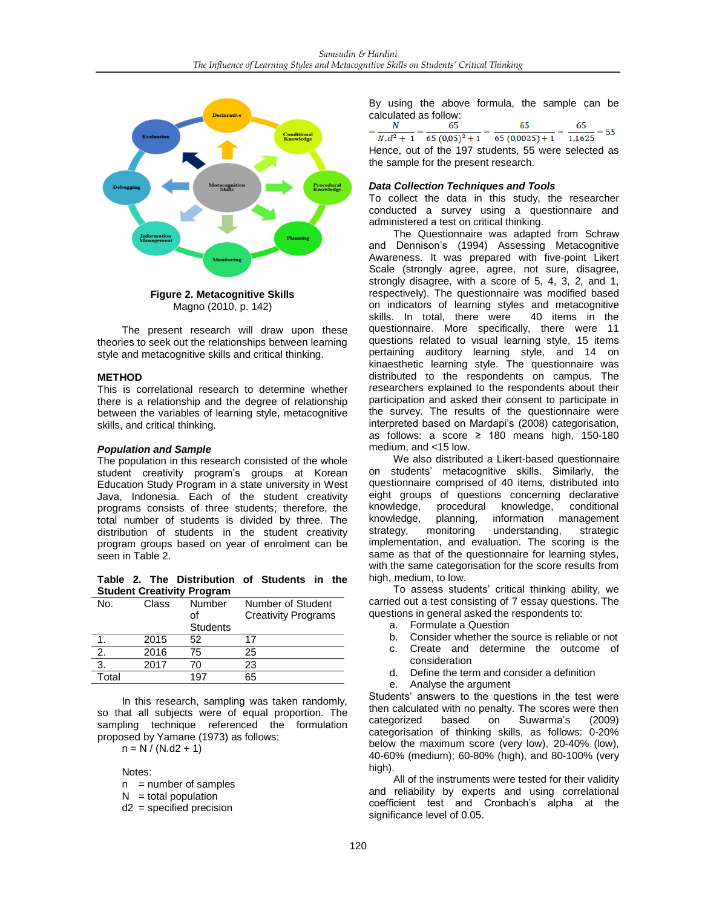

Magno (2010, p. 142)

The present research will draw upon these theories to seek out the relationships between learning style and metacognitive skills and critical thinking.

#### **METHOD**

This is correlational research to determine whether there is a relationship and the degree of relationship between the variables of learning style, metacognitive skills, and critical thinking.

#### *Population and Sample*

The population in this research consisted of the whole student creativity program's groups at Korean Education Study Program in a state university in West Java, Indonesia. Each of the student creativity programs consists of three students; therefore, the total number of students is divided by three. The distribution of students in the student creativity program groups based on year of enrolment can be seen in Table 2.

**Table 2. The Distribution of Students in the Student Creativity Program**

| No.   | Class | Number          | Number of Student          |
|-------|-------|-----------------|----------------------------|
|       |       | οf              | <b>Creativity Programs</b> |
|       |       | <b>Students</b> |                            |
|       | 2015  | 52              | 17                         |
| 2.    | 2016  | 75              | 25                         |
| 3.    | 2017  | 70              | 23                         |
| Total |       | 197             | 65                         |

In this research, sampling was taken randomly, so that all subjects were of equal proportion. The sampling technique referenced the formulation proposed by Yamane (1973) as follows:

 $n = N / (N.d2 + 1)$ 

Notes:

 $n =$  number of samples

- $N =$  total population
- d2 = specified precision

By using the above formula, the sample can be calculated as follow:

|                                                        | 65 |          |
|--------------------------------------------------------|----|----------|
| $N.d^2 + 1 = 65(0,05)^2 + 1 = 65(0,0025) + 1 = 1,1625$ |    | $-$ = 55 |
| ومادعهمامه معمدت 55 منصبولينام 407 مطلبة أسببت ومعمولا |    |          |

Hence, out of the 197 students, 55 were selected as the sample for the present research.

#### *Data Collection Techniques and Tools*

To collect the data in this study, the researcher conducted a survey using a questionnaire and administered a test on critical thinking.

The Questionnaire was adapted from Schraw and Dennison's (1994) Assessing Metacognitive Awareness. It was prepared with five-point Likert Scale (strongly agree, agree, not sure, disagree, strongly disagree, with a score of 5, 4, 3, 2, and 1, respectively). The questionnaire was modified based on indicators of learning styles and metacognitive<br>skills. In total, there were 40 items in the skills. In total, there were questionnaire. More specifically, there were 11 questions related to visual learning style, 15 items pertaining auditory learning style, and 14 on kinaesthetic learning style. The questionnaire was distributed to the respondents on campus. The researchers explained to the respondents about their participation and asked their consent to participate in the survey. The results of the questionnaire were interpreted based on Mardapi's (2008) categorisation, as follows: a score ≥ 180 means high, 150-180 medium, and <15 low.

We also distributed a Likert-based questionnaire on students' metacognitive skills. Similarly, the questionnaire comprised of 40 items, distributed into eight groups of questions concerning declarative knowledge, procedural knowledge, conditional<br>knowledge, planning, information management planning, information management<br>monitoring understanding, strategic strategy, monitoring understanding, strategic implementation, and evaluation. The scoring is the same as that of the questionnaire for learning styles, with the same categorisation for the score results from high, medium, to low.

To assess students' critical thinking ability, we carried out a test consisting of 7 essay questions. The questions in general asked the respondents to:

- a. Formulate a Question
- b. Consider whether the source is reliable or not
- c. Create and determine the outcome of consideration
- d. Define the term and consider a definition
- e. Analyse the argument

Students' answers to the questions in the test were then calculated with no penalty. The scores were then categorized based on Suwarma's (2009) categorisation of thinking skills, as follows: 0-20% below the maximum score (very low), 20-40% (low), 40-60% (medium); 60-80% (high), and 80-100% (very high).

All of the instruments were tested for their validity and reliability by experts and using correlational coefficient test and Cronbach's alpha at the significance level of 0.05.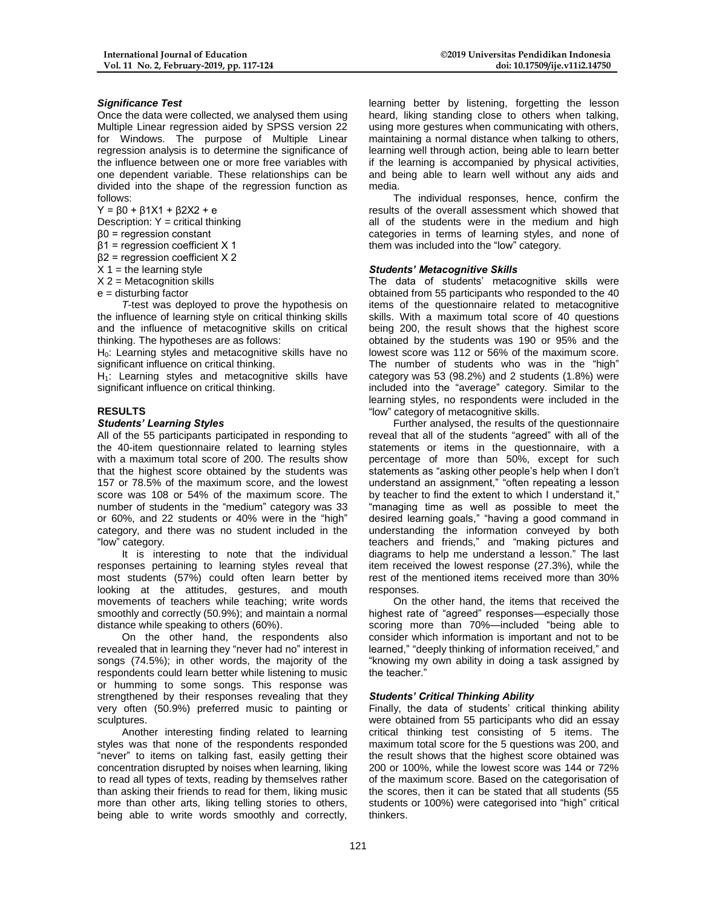### *Significance Test*

Once the data were collected, we analysed them using Multiple Linear regression aided by SPSS version 22 for Windows. The purpose of Multiple Linear regression analysis is to determine the significance of the influence between one or more free variables with one dependent variable. These relationships can be divided into the shape of the regression function as follows:

Y = β0 + β1X1 + β2X2 + e

Description: Y = critical thinking

- β0 = regression constant
- β1 = regression coefficient X 1
- β2 = regression coefficient X 2
- $X =$  the learning style
- $X$  2 = Metacognition skills
- $e =$  disturbing factor

*T*-test was deployed to prove the hypothesis on the influence of learning style on critical thinking skills and the influence of metacognitive skills on critical thinking. The hypotheses are as follows:

H<sub>0</sub>: Learning styles and metacognitive skills have no significant influence on critical thinking.

 $H<sub>1</sub>$ : Learning styles and metacognitive skills have significant influence on critical thinking.

#### **RESULTS**

#### *Students' Learning Styles*

All of the 55 participants participated in responding to the 40-item questionnaire related to learning styles with a maximum total score of 200. The results show that the highest score obtained by the students was 157 or 78.5% of the maximum score, and the lowest score was 108 or 54% of the maximum score. The number of students in the "medium" category was 33 or 60%, and 22 students or 40% were in the "high" category, and there was no student included in the "low" category.

It is interesting to note that the individual responses pertaining to learning styles reveal that most students (57%) could often learn better by looking at the attitudes, gestures, and mouth movements of teachers while teaching; write words smoothly and correctly (50.9%); and maintain a normal distance while speaking to others (60%).

On the other hand, the respondents also revealed that in learning they "never had no" interest in songs (74.5%); in other words, the majority of the respondents could learn better while listening to music or humming to some songs. This response was strengthened by their responses revealing that they very often (50.9%) preferred music to painting or sculptures.

Another interesting finding related to learning styles was that none of the respondents responded "never" to items on talking fast, easily getting their concentration disrupted by noises when learning, liking to read all types of texts, reading by themselves rather than asking their friends to read for them, liking music more than other arts, liking telling stories to others, being able to write words smoothly and correctly,

learning better by listening, forgetting the lesson heard, liking standing close to others when talking, using more gestures when communicating with others, maintaining a normal distance when talking to others, learning well through action, being able to learn better if the learning is accompanied by physical activities, and being able to learn well without any aids and media.

The individual responses, hence, confirm the results of the overall assessment which showed that all of the students were in the medium and high categories in terms of learning styles, and none of them was included into the "low" category.

#### *Students' Metacognitive Skills*

The data of students' metacognitive skills were obtained from 55 participants who responded to the 40 items of the questionnaire related to metacognitive skills. With a maximum total score of 40 questions being 200, the result shows that the highest score obtained by the students was 190 or 95% and the lowest score was 112 or 56% of the maximum score. The number of students who was in the "high" category was 53 (98.2%) and 2 students (1.8%) were included into the "average" category. Similar to the learning styles, no respondents were included in the "low" category of metacognitive skills.

Further analysed, the results of the questionnaire reveal that all of the students "agreed" with all of the statements or items in the questionnaire, with a percentage of more than 50%, except for such statements as "asking other people's help when I don't understand an assignment," "often repeating a lesson by teacher to find the extent to which I understand it," "managing time as well as possible to meet the desired learning goals," "having a good command in understanding the information conveyed by both teachers and friends," and "making pictures and diagrams to help me understand a lesson." The last item received the lowest response (27.3%), while the rest of the mentioned items received more than 30% responses.

On the other hand, the items that received the highest rate of "agreed" responses—especially those scoring more than 70%—included "being able to consider which information is important and not to be learned," "deeply thinking of information received," and "knowing my own ability in doing a task assigned by the teacher."

#### *Students' Critical Thinking Ability*

Finally, the data of students' critical thinking ability were obtained from 55 participants who did an essay critical thinking test consisting of 5 items. The maximum total score for the 5 questions was 200, and the result shows that the highest score obtained was 200 or 100%, while the lowest score was 144 or 72% of the maximum score. Based on the categorisation of the scores, then it can be stated that all students (55 students or 100%) were categorised into "high" critical thinkers.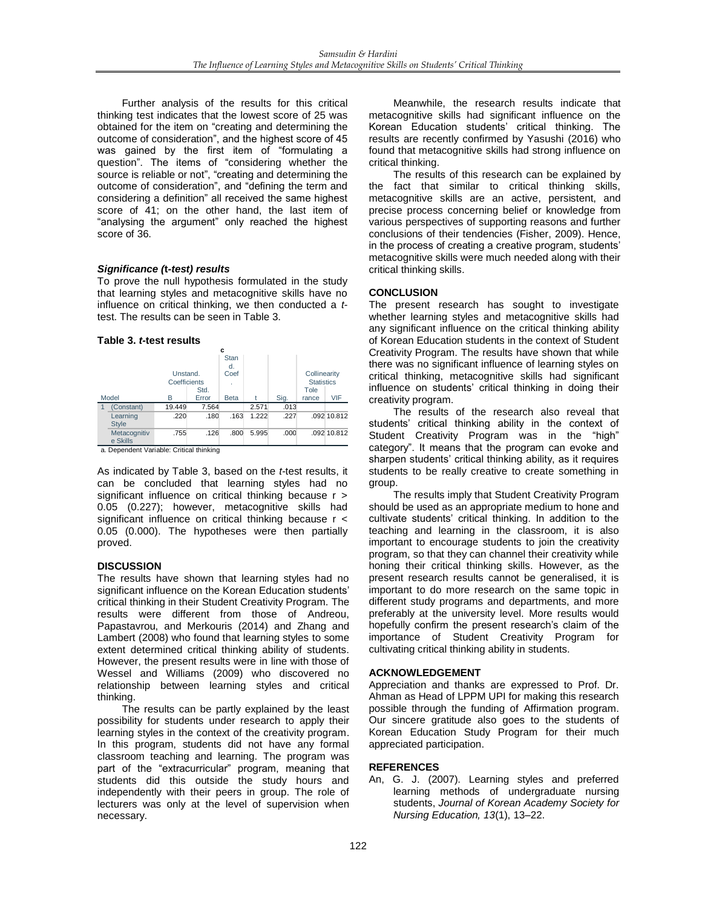Further analysis of the results for this critical thinking test indicates that the lowest score of 25 was obtained for the item on "creating and determining the outcome of consideration", and the highest score of 45 was gained by the first item of "formulating a question". The items of "considering whether the source is reliable or not", "creating and determining the outcome of consideration", and "defining the term and considering a definition" all received the same highest score of 41; on the other hand, the last item of "analysing the argument" only reached the highest score of 36.

## *Significance (***t***-test) results*

To prove the null hypothesis formulated in the study that learning styles and metacognitive skills have no influence on critical thinking, we then conducted a *t*test. The results can be seen in Table 3.

### **Table 3.** *t-***test results**



As indicated by Table 3, based on the *t*-test results, it can be concluded that learning styles had no significant influence on critical thinking because r > 0.05 (0.227); however, metacognitive skills had significant influence on critical thinking because r < 0.05 (0.000). The hypotheses were then partially proved.

## **DISCUSSION**

The results have shown that learning styles had no significant influence on the Korean Education students' critical thinking in their Student Creativity Program. The results were different from those of Andreou, Papastavrou, and Merkouris (2014) and Zhang and Lambert (2008) who found that learning styles to some extent determined critical thinking ability of students. However, the present results were in line with those of Wessel and Williams (2009) who discovered no relationship between learning styles and critical thinking.

The results can be partly explained by the least possibility for students under research to apply their learning styles in the context of the creativity program. In this program, students did not have any formal classroom teaching and learning. The program was part of the "extracurricular" program, meaning that students did this outside the study hours and independently with their peers in group. The role of lecturers was only at the level of supervision when necessary.

Meanwhile, the research results indicate that metacognitive skills had significant influence on the Korean Education students' critical thinking. The results are recently confirmed by Yasushi (2016) who found that metacognitive skills had strong influence on critical thinking.

The results of this research can be explained by the fact that similar to critical thinking skills, metacognitive skills are an active, persistent, and precise process concerning belief or knowledge from various perspectives of supporting reasons and further conclusions of their tendencies (Fisher, 2009). Hence, in the process of creating a creative program, students' metacognitive skills were much needed along with their critical thinking skills.

# **CONCLUSION**

The present research has sought to investigate whether learning styles and metacognitive skills had any significant influence on the critical thinking ability of Korean Education students in the context of Student Creativity Program. The results have shown that while there was no significant influence of learning styles on critical thinking, metacognitive skills had significant influence on students' critical thinking in doing their creativity program.

The results of the research also reveal that students' critical thinking ability in the context of Student Creativity Program was in the "high" category". It means that the program can evoke and sharpen students' critical thinking ability, as it requires students to be really creative to create something in group.

The results imply that Student Creativity Program should be used as an appropriate medium to hone and cultivate students' critical thinking. In addition to the teaching and learning in the classroom, it is also important to encourage students to join the creativity program, so that they can channel their creativity while honing their critical thinking skills. However, as the present research results cannot be generalised, it is important to do more research on the same topic in different study programs and departments, and more preferably at the university level. More results would hopefully confirm the present research's claim of the importance of Student Creativity Program for cultivating critical thinking ability in students.

## **ACKNOWLEDGEMENT**

Appreciation and thanks are expressed to Prof. Dr. Ahman as Head of LPPM UPI for making this research possible through the funding of Affirmation program. Our sincere gratitude also goes to the students of Korean Education Study Program for their much appreciated participation.

## **REFERENCES**

An, G. J. (2007). Learning styles and preferred learning methods of undergraduate nursing students, *Journal of Korean Academy Society for Nursing Education, 13*(1), 13–22.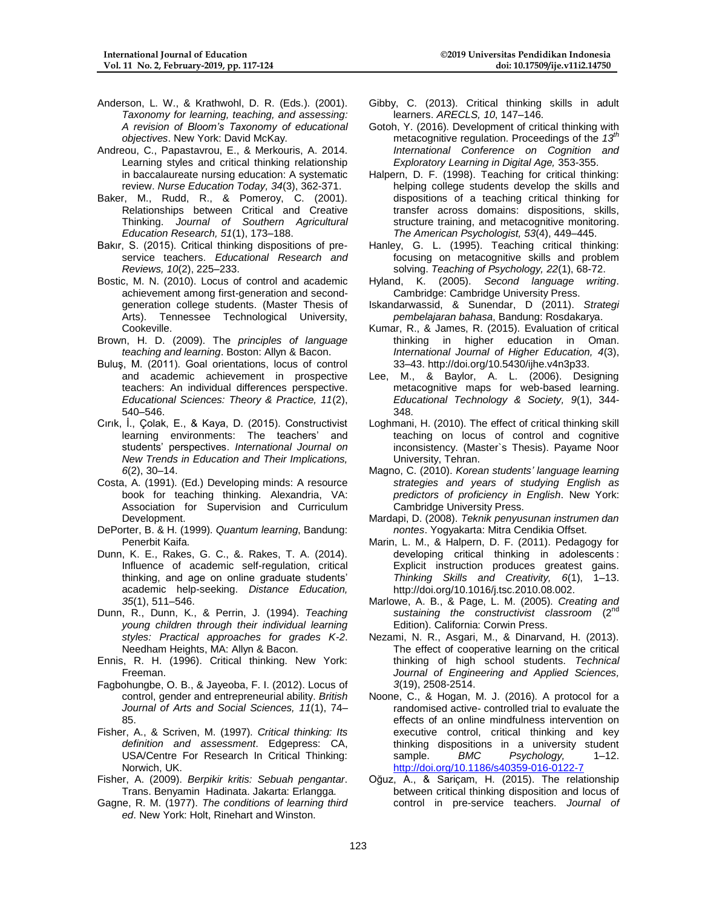- Anderson, L. W., & Krathwohl, D. R. (Eds.). (2001). *Taxonomy for learning, teaching, and assessing: A revision of Bloom's Taxonomy of educational objectives*. New York: David McKay.
- Andreou, C., Papastavrou, E., & Merkouris, A. 2014. Learning styles and critical thinking relationship in baccalaureate nursing education: A systematic review. *Nurse Education Today, 34*(3), 362-371.
- Baker, M., Rudd, R., & Pomeroy, C. (2001). Relationships between Critical and Creative Thinking. *Journal of Southern Agricultural Education Research, 51*(1), 173–188.
- Bakır, S. (2015). Critical thinking dispositions of preservice teachers. *Educational Research and Reviews, 10*(2), 225–233.
- Bostic, M. N. (2010). Locus of control and academic achievement among first-generation and secondgeneration college students. (Master Thesis of Arts). Tennessee Technological University, Cookeville.
- Brown, H. D. (2009). The *principles of language teaching and learning*. Boston: Allyn & Bacon.
- Buluş, M. (2011). Goal orientations, locus of control and academic achievement in prospective teachers: An individual differences perspective. *Educational Sciences: Theory & Practice, 11*(2), 540–546.
- Cırık, İ., Çolak, E., & Kaya, D. (2015). Constructivist learning environments: The teachers' and students' perspectives. *International Journal on New Trends in Education and Their Implications, 6*(2), 30–14.
- Costa, A. (1991). (Ed.) Developing minds: A resource book for teaching thinking. Alexandria, VA: Association for Supervision and Curriculum Development.
- DePorter, B. & H. (1999). *Quantum learning*, Bandung: Penerbit Kaifa.
- Dunn, K. E., Rakes, G. C., &. Rakes, T. A. (2014). Influence of academic self-regulation, critical thinking, and age on online graduate students' academic help-seeking. *Distance Education, 35*(1), 511–546.
- Dunn, R., Dunn, K., & Perrin, J. (1994). *Teaching young children through their individual learning styles: Practical approaches for grades K-2*. Needham Heights, MA: Allyn & Bacon.
- Ennis, R. H. (1996). Critical thinking. New York: Freeman.
- Fagbohungbe, O. B., & Jayeoba, F. I. (2012). Locus of control, gender and entrepreneurial ability. *British Journal of Arts and Social Sciences, 11*(1), 74– 85.
- Fisher, A., & Scriven, M. (1997). *Critical thinking: Its definition and assessment*. Edgepress: CA, USA/Centre For Research In Critical Thinking: Norwich, UK.
- Fisher, A. (2009). *Berpikir kritis: Sebuah pengantar*. Trans. Benyamin Hadinata. Jakarta: Erlangga.
- Gagne, R. M. (1977). *The conditions of learning third ed*. New York: Holt, Rinehart and Winston.
- Gibby, C. (2013). Critical thinking skills in adult learners. *ARECLS, 10*, 147–146.
- Gotoh, Y. (2016). Development of critical thinking with metacognitive regulation. Proceedings of the *13th International Conference on Cognition and Exploratory Learning in Digital Age,* 353-355.
- Halpern, D. F. (1998). Teaching for critical thinking: helping college students develop the skills and dispositions of a teaching critical thinking for transfer across domains: dispositions, skills, structure training, and metacognitive monitoring. *The American Psychologist, 53*(4), 449–445.
- Hanley, G. L. (1995). Teaching critical thinking: focusing on metacognitive skills and problem solving. *Teaching of Psychology, 22*(1), 68-72.
- Hyland, K. (2005). *Second language writing*. Cambridge: Cambridge University Press.
- Iskandarwassid, & Sunendar, D (2011). *Strategi pembelajaran bahasa*, Bandung: Rosdakarya.
- Kumar, R., & James, R. (2015). Evaluation of critical thinking in higher education in Oman. *International Journal of Higher Education, 4*(3), 33–43. http://doi.org/10.5430/ijhe.v4n3p33.
- Lee, M., & Baylor, A. L. (2006). Designing metacognitive maps for web-based learning. *Educational Technology & Society, 9*(1), 344- 348.
- Loghmani, H. (2010). The effect of critical thinking skill teaching on locus of control and cognitive inconsistency. (Master`s Thesis). Payame Noor University, Tehran.
- Magno, C. (2010). *Korean students' language learning strategies and years of studying English as predictors of proficiency in English*. New York: Cambridge University Press.
- Mardapi, D. (2008). *Teknik penyusunan instrumen dan nontes*. Yogyakarta: Mitra Cendikia Offset.
- Marin, L. M., & Halpern, D. F. (2011). Pedagogy for developing critical thinking in adolescents : Explicit instruction produces greatest gains. *Thinking Skills and Creativity, 6*(1), 1–13. http://doi.org/10.1016/j.tsc.2010.08.002.
- Marlowe, A. B., & Page, L. M. (2005). *Creating and sustaining the constructivist classroom* (2nd Edition). California: Corwin Press.
- Nezami, N. R., Asgari, M., & Dinarvand, H. (2013). The effect of cooperative learning on the critical thinking of high school students. *Technical Journal of Engineering and Applied Sciences, 3*(19), 2508-2514.
- Noone, C., & Hogan, M. J. (2016). A protocol for a randomised active- controlled trial to evaluate the effects of an online mindfulness intervention on executive control, critical thinking and key thinking dispositions in a university student sample. *BMC Psychology*, 1-12. <http://doi.org/10.1186/s40359-016-0122-7>
- Oğuz, A., & Sariçam, H. (2015). The relationship between critical thinking disposition and locus of control in pre-service teachers. *Journal of*